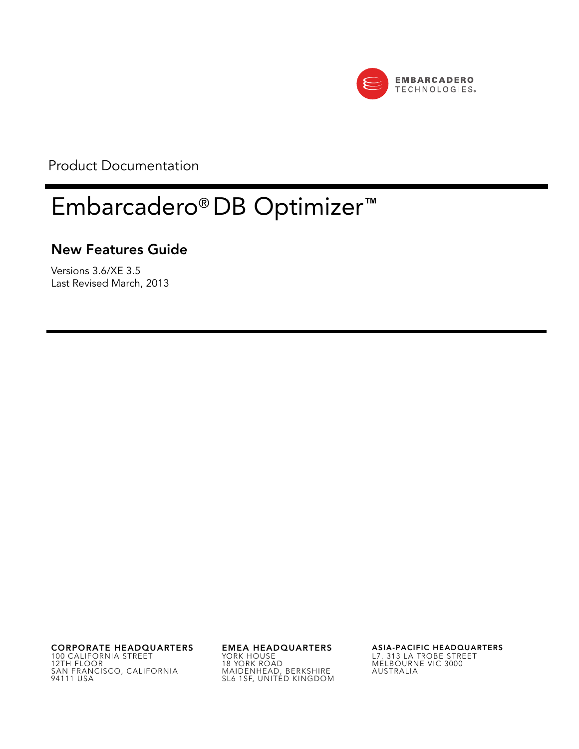

Product Documentation

# Embarcadero® DB Optimizer**™**

### **New Features Guide**

Versions 3.6/XE 3.5 Last Revised March, 2013

**CORPORATE HEADQUARTERS EMEA HEADQUARTERS ASIA-PACIFIC HEADQUARTERS** 100 CALIFORNIA STREET 12TH FLOOR SAN FRANCISCO, CALIFORNIA 94111 USA

YORK HOUSE 18 YORK ROAD MAIDENHEAD, BERKSHIRE SL6 1SF, UNITED KINGDOM

L7. 313 LA TROBE STREET MELBOURNE VIC 3000 AUSTRALIA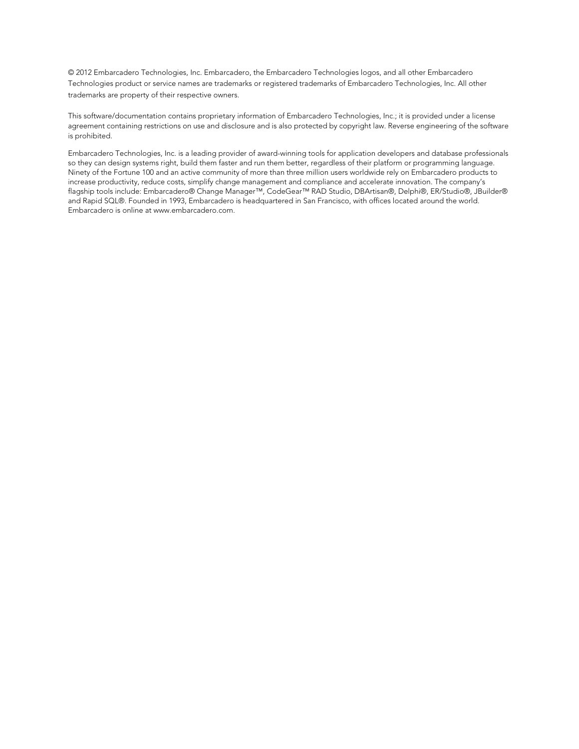© 2012 Embarcadero Technologies, Inc. Embarcadero, the Embarcadero Technologies logos, and all other Embarcadero Technologies product or service names are trademarks or registered trademarks of Embarcadero Technologies, Inc. All other trademarks are property of their respective owners.

This software/documentation contains proprietary information of Embarcadero Technologies, Inc.; it is provided under a license agreement containing restrictions on use and disclosure and is also protected by copyright law. Reverse engineering of the software is prohibited.

Embarcadero Technologies, Inc. is a leading provider of award-winning tools for application developers and database professionals so they can design systems right, build them faster and run them better, regardless of their platform or programming language. Ninety of the Fortune 100 and an active community of more than three million users worldwide rely on Embarcadero products to increase productivity, reduce costs, simplify change management and compliance and accelerate innovation. The company's flagship tools include: Embarcadero® Change Manager™, CodeGear™ RAD Studio, DBArtisan®, Delphi®, ER/Studio®, JBuilder® and Rapid SQL®. Founded in 1993, Embarcadero is headquartered in San Francisco, with offices located around the world. Embarcadero is online at www.embarcadero.com.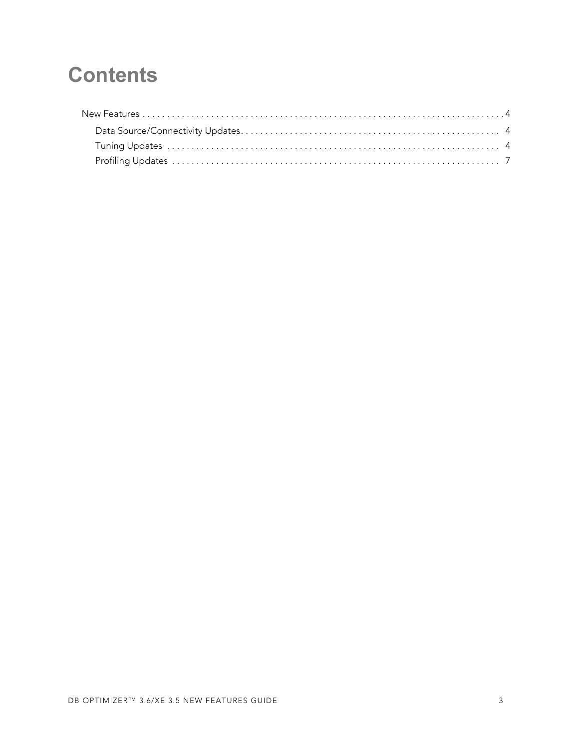## **Contents**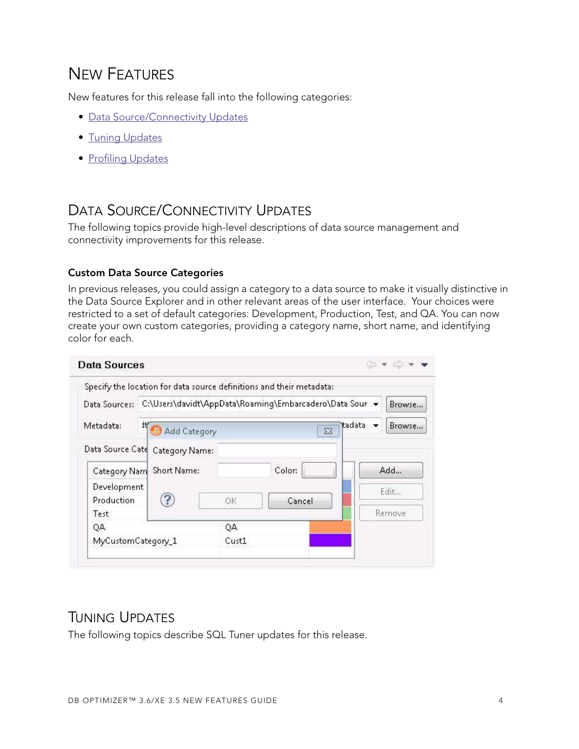## <span id="page-3-0"></span>NEW FEATURES

New features for this release fall into the following categories:

- [Data Source/Connectivity Updates](#page-3-1)
- [Tuning Updates](#page-3-2)
- [Profiling Updates](#page-6-0)

## <span id="page-3-1"></span>DATA SOURCE/CONNECTIVITY UPDATES

The following topics provide high-level descriptions of data source management and connectivity improvements for this release.

#### **Custom Data Source Categories**

In previous releases, you could assign a category to a data source to make it visually distinctive in the Data Source Explorer and in other relevant areas of the user interface. Your choices were restricted to a set of default categories: Development, Production, Test, and QA. You can now create your own custom categories, providing a category name, short name, and identifying color for each.

|                    | Specify the location for data source definitions and their metadata: |       |        |                                  |                                    |
|--------------------|----------------------------------------------------------------------|-------|--------|----------------------------------|------------------------------------|
| Data Sources:      | C:\Users\davidt\AppData\Roaming\Embarcadero\Data Sour v              |       |        |                                  | Browse                             |
| Metadata:          | 1t<br>Add Category                                                   |       |        | tadata<br>$\overline{\text{23}}$ | Browse<br>$\overline{\phantom{a}}$ |
| Data Source Cate   | Category Name:                                                       |       |        |                                  |                                    |
| Category Nam       | Short Name:                                                          |       | Color: |                                  | Add                                |
| Development        |                                                                      |       |        |                                  | Edit                               |
| Production<br>Test |                                                                      | OK    | Cancel |                                  | Remove                             |
| QA                 |                                                                      | QA    |        |                                  |                                    |
| MyCustomCategory_1 |                                                                      | Cust1 |        |                                  |                                    |

## <span id="page-3-2"></span>TUNING UPDATES

The following topics describe SQL Tuner updates for this release.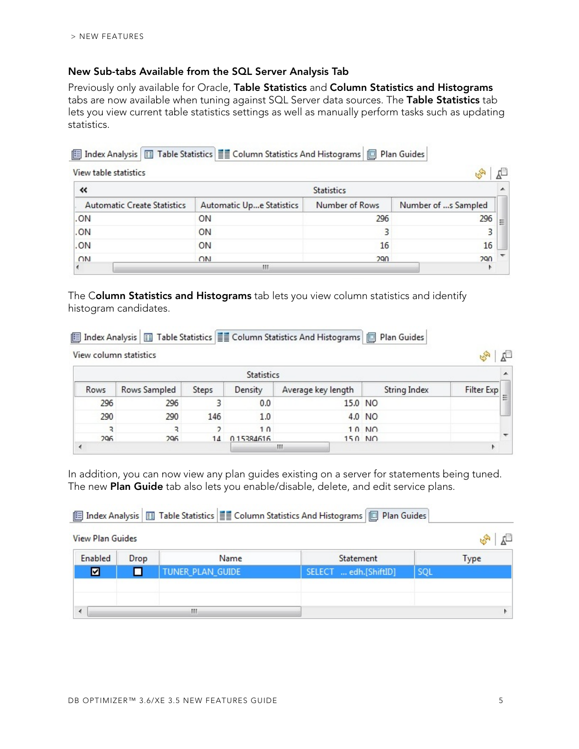Y

#### **New Sub-tabs Available from the SQL Server Analysis Tab**

Previously only available for Oracle, **Table Statistics** and **Column Statistics and Histograms** tabs are now available when tuning against SQL Server data sources. The **Table Statistics** tab lets you view current table statistics settings as well as manually perform tasks such as updating statistics.

#### E Index Analysis | I Table Statistics | E Column Statistics And Histograms | I Plan Guides

| View table statistics              |                          |                |                     |   |  |
|------------------------------------|--------------------------|----------------|---------------------|---|--|
| «                                  | <b>Statistics</b>        |                |                     |   |  |
| <b>Automatic Create Statistics</b> | Automatic Upe Statistics | Number of Rows | Number of s Sampled |   |  |
| .ON                                | ON                       | 296            | 296                 | Ξ |  |
| .ON                                | ON                       |                |                     |   |  |
| .ON                                | ON                       | 16             | 16                  |   |  |
| ON                                 | ON                       | 290            | 290                 |   |  |
|                                    | Ш                        |                |                     |   |  |

The C**olumn Statistics and Histograms** tab lets you view column statistics and identify histogram candidates.

|      |                        |       |                   | iii   Index Analysis   11   Table Statistics   11    Column Statistics And Histograms          Plan Guides |              |            |   |
|------|------------------------|-------|-------------------|------------------------------------------------------------------------------------------------------------|--------------|------------|---|
|      | View column statistics |       |                   |                                                                                                            |              |            |   |
|      |                        |       | <b>Statistics</b> |                                                                                                            |              |            |   |
| Rows | Rows Sampled           | Steps | Density           | Average key length                                                                                         | String Index | Filter Exp |   |
| 296  | 296                    |       | 0.0               | 15.0 NO                                                                                                    |              |            | Ξ |
| 290  | 290                    | 146   | 1.0               |                                                                                                            | 4.0 NO       |            |   |
| ₹    | ₹                      | C.    | 1 <sub>0</sub>    |                                                                                                            | $10$ NO      |            |   |
| 296  | 296                    | 14    | 015384616         | $150$ NO                                                                                                   |              |            |   |
|      |                        |       |                   | Ш                                                                                                          |              |            |   |

In addition, you can now view any plan guides existing on a server for statements being tuned. The new **Plan Guide** tab also lets you enable/disable, delete, and edit service plans.

#### E Index Analysis | 13 Table Statistics | E Column Statistics And Histograms | 13 Plan Guides

| Enabled | Drop | Name             | Statement             |     | <b>Type</b> |
|---------|------|------------------|-----------------------|-----|-------------|
| ☑       |      | TUNER_PLAN_GUIDE | SELECT  edh.[ShiftID] | SQL |             |
|         |      |                  |                       |     |             |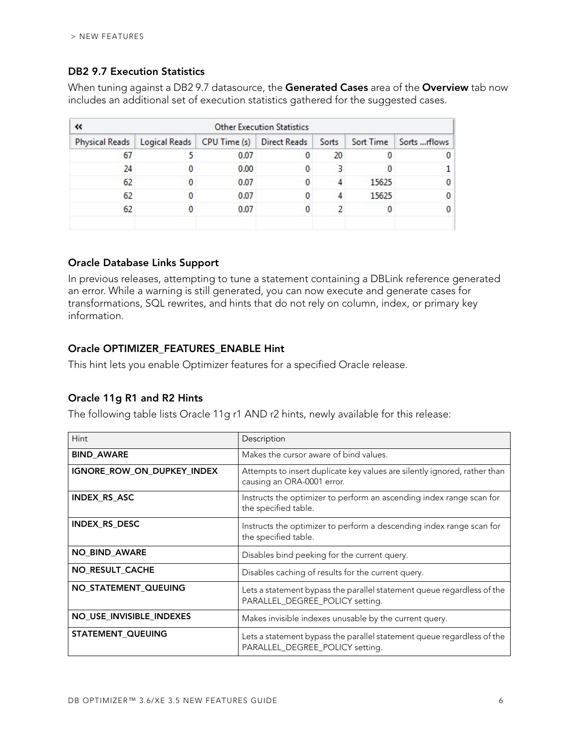#### **DB2 9.7 Execution Statistics**

When tuning against a DB2 9.7 datasource, the **Generated Cases** area of the **Overview** tab now includes an additional set of execution statistics gathered for the suggested cases.

| <b>Other Execution Statistics</b><br>« |                                             |      |              |       |           |               |
|----------------------------------------|---------------------------------------------|------|--------------|-------|-----------|---------------|
| <b>Physical Reads</b>                  | Logical Reads   CPU Time (s)   Direct Reads |      |              | Sorts | Sort Time | Sorts  rflows |
| 67                                     |                                             | 0.07 | $\mathbf{0}$ | 20    | 0         | 0             |
| 24                                     |                                             | 0.00 | $\Omega$     |       |           |               |
| 62                                     |                                             | 0.07 | $\mathbf{0}$ | Δ     | 15625     | $\mathbf 0$   |
| 62                                     |                                             | 0.07 | $\Omega$     |       | 15625     | $\mathbf{0}$  |
| 62                                     |                                             | 0.07 | $\mathbf{0}$ |       | 0         | 0             |
|                                        |                                             |      |              |       |           |               |

#### **Oracle Database Links Support**

In previous releases, attempting to tune a statement containing a DBLink reference generated an error. While a warning is still generated, you can now execute and generate cases for transformations, SQL rewrites, and hints that do not rely on column, index, or primary key information.

#### **Oracle OPTIMIZER\_FEATURES\_ENABLE Hint**

This hint lets you enable Optimizer features for a specified Oracle release.

#### **Oracle 11g R1 and R2 Hints**

The following table lists Oracle 11g r1 AND r2 hints, newly available for this release:

| <b>Hint</b>                | Description                                                                                               |
|----------------------------|-----------------------------------------------------------------------------------------------------------|
| <b>BIND_AWARE</b>          | Makes the cursor aware of bind values.                                                                    |
| IGNORE_ROW_ON_DUPKEY_INDEX | Attempts to insert duplicate key values are silently ignored, rather than<br>causing an ORA-0001 error.   |
| <b>INDEX RS ASC</b>        | Instructs the optimizer to perform an ascending index range scan for<br>the specified table.              |
| INDEX_RS_DESC              | Instructs the optimizer to perform a descending index range scan for<br>the specified table.              |
| <b>NO BIND AWARE</b>       | Disables bind peeking for the current query.                                                              |
| NO_RESULT_CACHE            | Disables caching of results for the current query.                                                        |
| NO_STATEMENT_QUEUING       | Lets a statement bypass the parallel statement queue regardless of the<br>PARALLEL_DEGREE_POLICY setting. |
| NO_USE_INVISIBLE_INDEXES   | Makes invisible indexes unusable by the current query.                                                    |
| <b>STATEMENT QUEUING</b>   | Lets a statement bypass the parallel statement queue regardless of the<br>PARALLEL_DEGREE_POLICY setting. |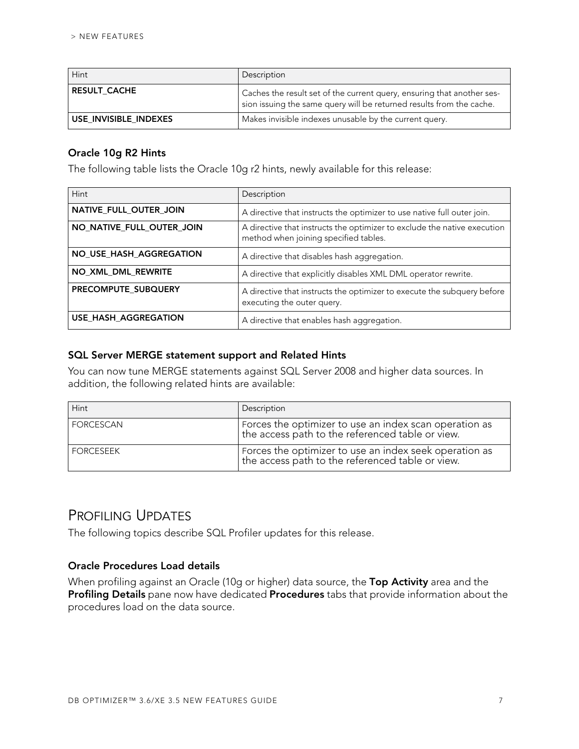| Hint                  | Description                                                                                                                                    |
|-----------------------|------------------------------------------------------------------------------------------------------------------------------------------------|
| <b>RESULT CACHE</b>   | Caches the result set of the current query, ensuring that another ses-<br>sion issuing the same query will be returned results from the cache. |
| USE INVISIBLE INDEXES | Makes invisible indexes unusable by the current query.                                                                                         |

#### **Oracle 10g R2 Hints**

The following table lists the Oracle 10g r2 hints, newly available for this release:

| Hint                      | Description                                                                                                       |
|---------------------------|-------------------------------------------------------------------------------------------------------------------|
| NATIVE_FULL_OUTER_JOIN    | A directive that instructs the optimizer to use native full outer join.                                           |
| NO_NATIVE_FULL_OUTER_JOIN | A directive that instructs the optimizer to exclude the native execution<br>method when joining specified tables. |
| NO_USE_HASH_AGGREGATION   | A directive that disables hash aggregation.                                                                       |
| NO_XML_DML_REWRITE        | A directive that explicitly disables XML DML operator rewrite.                                                    |
| PRECOMPUTE SUBQUERY       | A directive that instructs the optimizer to execute the subquery before<br>executing the outer query.             |
| USE HASH AGGREGATION      | A directive that enables hash aggregation.                                                                        |

#### **SQL Server MERGE statement support and Related Hints**

You can now tune MERGE statements against SQL Server 2008 and higher data sources. In addition, the following related hints are available:

| Hint      | Description                                                                                                |
|-----------|------------------------------------------------------------------------------------------------------------|
| FORCESCAN | Forces the optimizer to use an index scan operation as<br>the access path to the referenced table or view. |
| FORCESEEK | Forces the optimizer to use an index seek operation as<br>the access path to the referenced table or view. |

## <span id="page-6-0"></span>PROFILING UPDATES

The following topics describe SQL Profiler updates for this release.

#### **Oracle Procedures Load details**

When profiling against an Oracle (10g or higher) data source, the **Top Activity** area and the **Profiling Details** pane now have dedicated **Procedures** tabs that provide information about the procedures load on the data source.